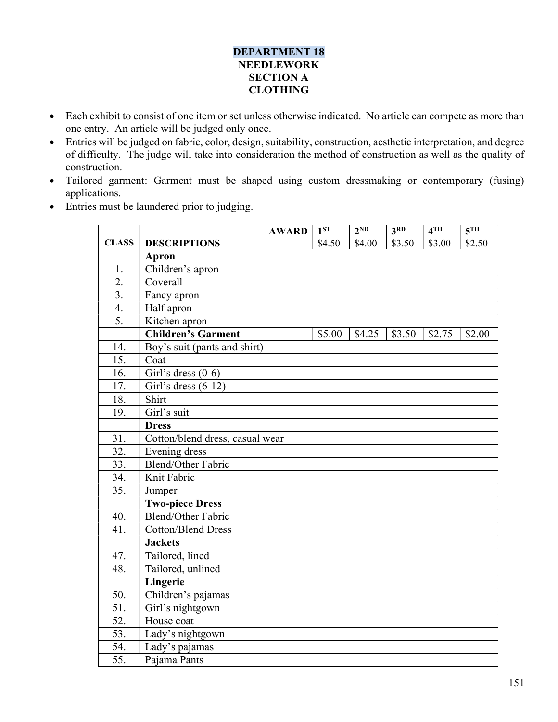## DEPARTMENT 18 NEEDLEWORK SECTION A **CLOTHING**

- Each exhibit to consist of one item or set unless otherwise indicated. No article can compete as more than one entry. An article will be judged only once.
- Entries will be judged on fabric, color, design, suitability, construction, aesthetic interpretation, and degree of difficulty. The judge will take into consideration the method of construction as well as the quality of construction.
- Tailored garment: Garment must be shaped using custom dressmaking or contemporary (fusing) applications.
- Entries must be laundered prior to judging.

|                  | <b>AWARD</b>                    | 1 <sup>ST</sup> | 2 <sup>ND</sup> | 3 <sup>RD</sup> | 4 <sup>TH</sup> | 5 <sup>TH</sup> |
|------------------|---------------------------------|-----------------|-----------------|-----------------|-----------------|-----------------|
| <b>CLASS</b>     | <b>DESCRIPTIONS</b>             | \$4.50          | \$4.00          | \$3.50          | \$3.00          | \$2.50          |
|                  | <b>Apron</b>                    |                 |                 |                 |                 |                 |
| 1.               | Children's apron                |                 |                 |                 |                 |                 |
| $\overline{2}$ . | Coverall                        |                 |                 |                 |                 |                 |
| 3.               | Fancy apron                     |                 |                 |                 |                 |                 |
| 4.               | Half apron                      |                 |                 |                 |                 |                 |
| 5.               | Kitchen apron                   |                 |                 |                 |                 |                 |
|                  | <b>Children's Garment</b>       | \$5.00          | \$4.25          | \$3.50          | \$2.75          | \$2.00          |
| 14.              | Boy's suit (pants and shirt)    |                 |                 |                 |                 |                 |
| 15.              | Coat                            |                 |                 |                 |                 |                 |
| 16.              | Girl's dress $(0-6)$            |                 |                 |                 |                 |                 |
| 17.              | Girl's dress $(6-12)$           |                 |                 |                 |                 |                 |
| 18.              | Shirt                           |                 |                 |                 |                 |                 |
| 19.              | Girl's suit                     |                 |                 |                 |                 |                 |
|                  | <b>Dress</b>                    |                 |                 |                 |                 |                 |
| 31.              | Cotton/blend dress, casual wear |                 |                 |                 |                 |                 |
| 32.              | Evening dress                   |                 |                 |                 |                 |                 |
| 33.              | <b>Blend/Other Fabric</b>       |                 |                 |                 |                 |                 |
| 34.              | Knit Fabric                     |                 |                 |                 |                 |                 |
| 35.              | Jumper                          |                 |                 |                 |                 |                 |
|                  | <b>Two-piece Dress</b>          |                 |                 |                 |                 |                 |
| 40.              | <b>Blend/Other Fabric</b>       |                 |                 |                 |                 |                 |
| 41.              | <b>Cotton/Blend Dress</b>       |                 |                 |                 |                 |                 |
|                  | <b>Jackets</b>                  |                 |                 |                 |                 |                 |
| 47.              | Tailored, lined                 |                 |                 |                 |                 |                 |
| 48.              | Tailored, unlined               |                 |                 |                 |                 |                 |
|                  | Lingerie                        |                 |                 |                 |                 |                 |
| 50.              | Children's pajamas              |                 |                 |                 |                 |                 |
| 51.              | Girl's nightgown                |                 |                 |                 |                 |                 |
| 52.              | House coat                      |                 |                 |                 |                 |                 |
| 53.              | Lady's nightgown                |                 |                 |                 |                 |                 |
| 54.              | Lady's pajamas                  |                 |                 |                 |                 |                 |
| 55.              | Pajama Pants                    |                 |                 |                 |                 |                 |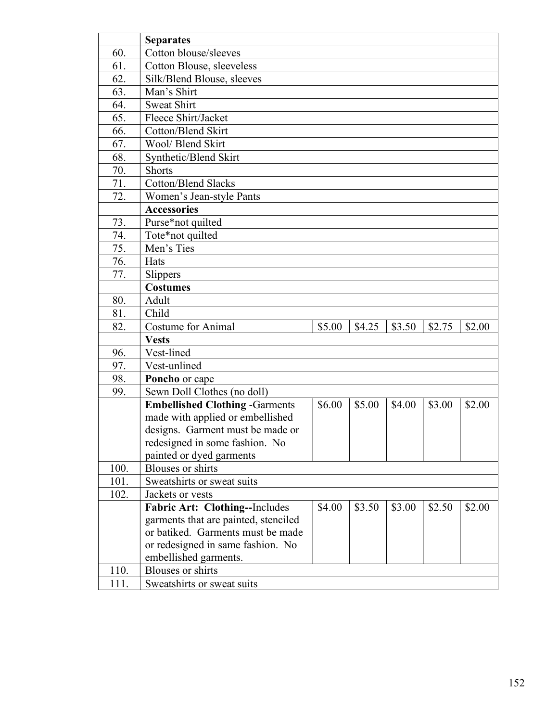|      | <b>Separates</b>                       |        |        |        |        |        |
|------|----------------------------------------|--------|--------|--------|--------|--------|
| 60.  | Cotton blouse/sleeves                  |        |        |        |        |        |
| 61.  | Cotton Blouse, sleeveless              |        |        |        |        |        |
| 62.  | Silk/Blend Blouse, sleeves             |        |        |        |        |        |
| 63.  | Man's Shirt                            |        |        |        |        |        |
| 64.  | <b>Sweat Shirt</b>                     |        |        |        |        |        |
| 65.  | Fleece Shirt/Jacket                    |        |        |        |        |        |
| 66.  | Cotton/Blend Skirt                     |        |        |        |        |        |
| 67.  | Wool/ Blend Skirt                      |        |        |        |        |        |
| 68.  | Synthetic/Blend Skirt                  |        |        |        |        |        |
| 70.  | <b>Shorts</b>                          |        |        |        |        |        |
| 71.  | <b>Cotton/Blend Slacks</b>             |        |        |        |        |        |
| 72.  | Women's Jean-style Pants               |        |        |        |        |        |
|      | <b>Accessories</b>                     |        |        |        |        |        |
| 73.  | Purse*not quilted                      |        |        |        |        |        |
| 74.  | Tote*not quilted                       |        |        |        |        |        |
| 75.  | Men's Ties                             |        |        |        |        |        |
| 76.  | Hats                                   |        |        |        |        |        |
| 77.  | Slippers                               |        |        |        |        |        |
|      | <b>Costumes</b>                        |        |        |        |        |        |
| 80.  | Adult                                  |        |        |        |        |        |
| 81.  | Child                                  |        |        |        |        |        |
| 82.  | <b>Costume for Animal</b>              | \$5.00 | \$4.25 | \$3.50 | \$2.75 | \$2.00 |
|      | <b>Vests</b>                           |        |        |        |        |        |
| 96.  | Vest-lined                             |        |        |        |        |        |
| 97.  | Vest-unlined                           |        |        |        |        |        |
| 98.  | Poncho or cape                         |        |        |        |        |        |
| 99.  | Sewn Doll Clothes (no doll)            |        |        |        |        |        |
|      | <b>Embellished Clothing - Garments</b> | \$6.00 | \$5.00 | \$4.00 | \$3.00 | \$2.00 |
|      | made with applied or embellished       |        |        |        |        |        |
|      | designs. Garment must be made or       |        |        |        |        |        |
|      | redesigned in some fashion. No         |        |        |        |        |        |
|      | painted or dyed garments               |        |        |        |        |        |
| 100. | <b>Blouses</b> or shirts               |        |        |        |        |        |
| 101. | Sweatshirts or sweat suits             |        |        |        |        |        |
| 102. | Jackets or vests                       |        |        |        |        |        |
|      | Fabric Art: Clothing--Includes         | \$4.00 | \$3.50 | \$3.00 | \$2.50 | \$2.00 |
|      | garments that are painted, stenciled   |        |        |        |        |        |
|      | or batiked. Garments must be made      |        |        |        |        |        |
|      | or redesigned in same fashion. No      |        |        |        |        |        |
|      | embellished garments.                  |        |        |        |        |        |
| 110. | <b>Blouses</b> or shirts               |        |        |        |        |        |
| 111. | Sweatshirts or sweat suits             |        |        |        |        |        |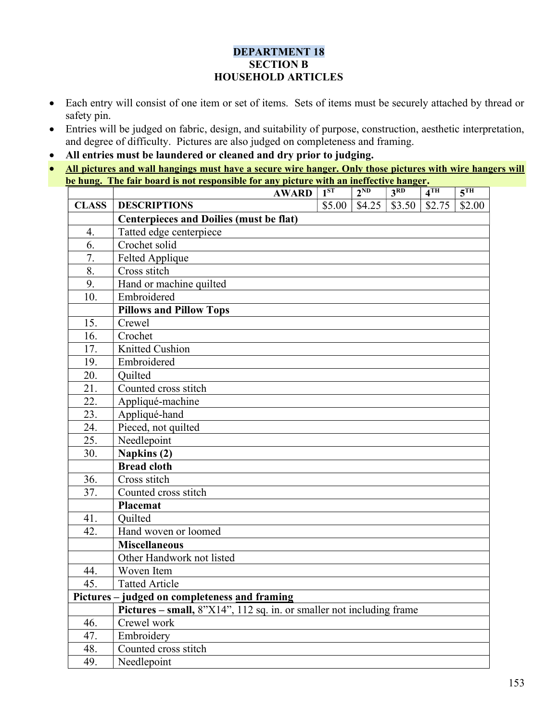## DEPARTMENT 18 SECTION B HOUSEHOLD ARTICLES

- Each entry will consist of one item or set of items. Sets of items must be securely attached by thread or safety pin.
- Entries will be judged on fabric, design, and suitability of purpose, construction, aesthetic interpretation, and degree of difficulty. Pictures are also judged on completeness and framing.
- All entries must be laundered or cleaned and dry prior to judging.
- All pictures and wall hangings must have a secure wire hanger. Only those pictures with wire hangers will be hung. The fair board is not responsible for any picture with an ineffective hanger.

|              | <b>AWARD</b>                                                         | $1^{ST}$ | $2^{ND}$ | 3 <sup>RD</sup> | 4 <sup>TH</sup> | 5 <sup>TH</sup> |
|--------------|----------------------------------------------------------------------|----------|----------|-----------------|-----------------|-----------------|
| <b>CLASS</b> | <b>DESCRIPTIONS</b>                                                  | \$5.00   | \$4.25   | \$3.50          | \$2.75          | \$2.00          |
|              | <b>Centerpieces and Doilies (must be flat)</b>                       |          |          |                 |                 |                 |
| 4.           | Tatted edge centerpiece                                              |          |          |                 |                 |                 |
| 6.           | Crochet solid                                                        |          |          |                 |                 |                 |
| 7.           | Felted Applique                                                      |          |          |                 |                 |                 |
| 8.           | Cross stitch                                                         |          |          |                 |                 |                 |
| 9.           | Hand or machine quilted                                              |          |          |                 |                 |                 |
| 10.          | Embroidered                                                          |          |          |                 |                 |                 |
|              | <b>Pillows and Pillow Tops</b>                                       |          |          |                 |                 |                 |
| 15.          | Crewel                                                               |          |          |                 |                 |                 |
| 16.          | Crochet                                                              |          |          |                 |                 |                 |
| 17.          | Knitted Cushion                                                      |          |          |                 |                 |                 |
| 19.          | Embroidered                                                          |          |          |                 |                 |                 |
| 20.          | Quilted                                                              |          |          |                 |                 |                 |
| 21.          | Counted cross stitch                                                 |          |          |                 |                 |                 |
| 22.          | Appliqué-machine                                                     |          |          |                 |                 |                 |
| 23.          | Appliqué-hand                                                        |          |          |                 |                 |                 |
| 24.          | Pieced, not quilted                                                  |          |          |                 |                 |                 |
| 25.          | Needlepoint                                                          |          |          |                 |                 |                 |
| 30.          | Napkins (2)                                                          |          |          |                 |                 |                 |
|              | <b>Bread cloth</b>                                                   |          |          |                 |                 |                 |
| 36.          | Cross stitch                                                         |          |          |                 |                 |                 |
| 37.          | Counted cross stitch                                                 |          |          |                 |                 |                 |
|              | Placemat                                                             |          |          |                 |                 |                 |
| 41.          | Quilted                                                              |          |          |                 |                 |                 |
| 42.          | Hand woven or loomed                                                 |          |          |                 |                 |                 |
|              | <b>Miscellaneous</b>                                                 |          |          |                 |                 |                 |
|              | Other Handwork not listed                                            |          |          |                 |                 |                 |
| 44.          | Woven Item                                                           |          |          |                 |                 |                 |
| 45.          | <b>Tatted Article</b>                                                |          |          |                 |                 |                 |
|              | Pictures - judged on completeness and framing                        |          |          |                 |                 |                 |
|              | Pictures - small, 8"X14", 112 sq. in. or smaller not including frame |          |          |                 |                 |                 |
| 46.          | Crewel work                                                          |          |          |                 |                 |                 |
| 47.          | Embroidery                                                           |          |          |                 |                 |                 |
| 48.          | Counted cross stitch                                                 |          |          |                 |                 |                 |
| 49.          | Needlepoint                                                          |          |          |                 |                 |                 |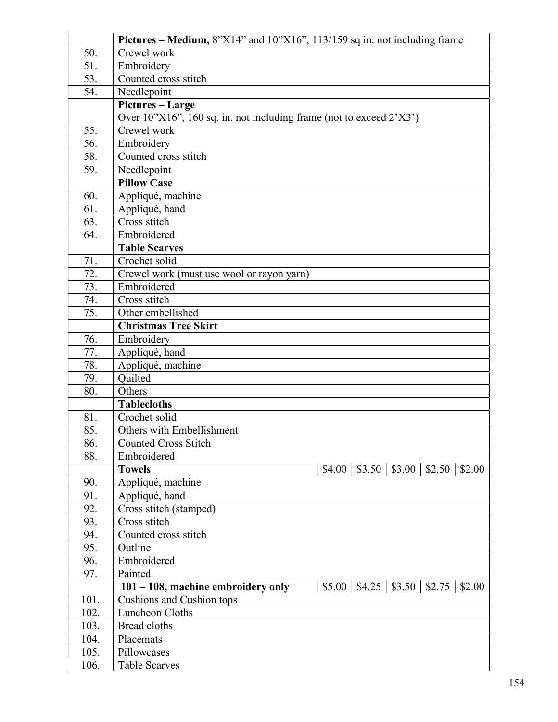|      | Pictures – Medium, $8$ "X14" and $10$ "X16", $113/159$ sq in. not including frame       |
|------|-----------------------------------------------------------------------------------------|
| 50.  | Crewel work                                                                             |
| 51.  | Embroidery                                                                              |
| 53.  | Counted cross stitch                                                                    |
| 54.  | Needlepoint                                                                             |
|      | Pictures - Large                                                                        |
|      | Over 10"X16", 160 sq. in. not including frame (not to exceed 2'X3')                     |
| 55.  | Crewel work                                                                             |
| 56.  | Embroidery                                                                              |
| 58.  | Counted cross stitch                                                                    |
| 59.  | Needlepoint                                                                             |
|      | <b>Pillow Case</b>                                                                      |
| 60.  | Appliqué, machine                                                                       |
| 61.  | Appliqué, hand                                                                          |
| 63.  | Cross stitch                                                                            |
| 64.  | Embroidered                                                                             |
|      | <b>Table Scarves</b>                                                                    |
| 71.  | Crochet solid                                                                           |
| 72.  | Crewel work (must use wool or rayon yarn)                                               |
| 73.  | Embroidered                                                                             |
| 74.  | Cross stitch                                                                            |
| 75.  | Other embellished                                                                       |
|      | <b>Christmas Tree Skirt</b>                                                             |
| 76.  | Embroidery                                                                              |
| 77.  | Appliqué, hand                                                                          |
| 78.  | Appliqué, machine                                                                       |
| 79.  | Quilted                                                                                 |
| 80.  | Others                                                                                  |
|      | <b>Tablecloths</b>                                                                      |
| 81.  | Crochet solid                                                                           |
| 85.  | Others with Embellishment                                                               |
| 86.  | <b>Counted Cross Stitch</b>                                                             |
| 88.  | Embroidered                                                                             |
|      | <b>Towels</b><br>\$4.00<br>\$3.50<br>\$3.00<br>\$2.50<br>\$2.00                         |
| 90.  | Appliqué, machine                                                                       |
| 91.  | Appliqué, hand                                                                          |
| 92.  | Cross stitch (stamped)                                                                  |
| 93.  | Cross stitch                                                                            |
| 94.  | Counted cross stitch                                                                    |
| 95.  | Outline                                                                                 |
| 96.  | Embroidered                                                                             |
| 97.  | Painted                                                                                 |
|      | $101 - 108$ , machine embroidery only<br>\$5.00<br>\$4.25<br>\$3.50<br>\$2.75<br>\$2.00 |
| 101. | Cushions and Cushion tops                                                               |
| 102. | Luncheon Cloths                                                                         |
| 103. | Bread cloths                                                                            |
| 104. | Placemats                                                                               |
| 105. | Pillowcases                                                                             |
| 106. | <b>Table Scarves</b>                                                                    |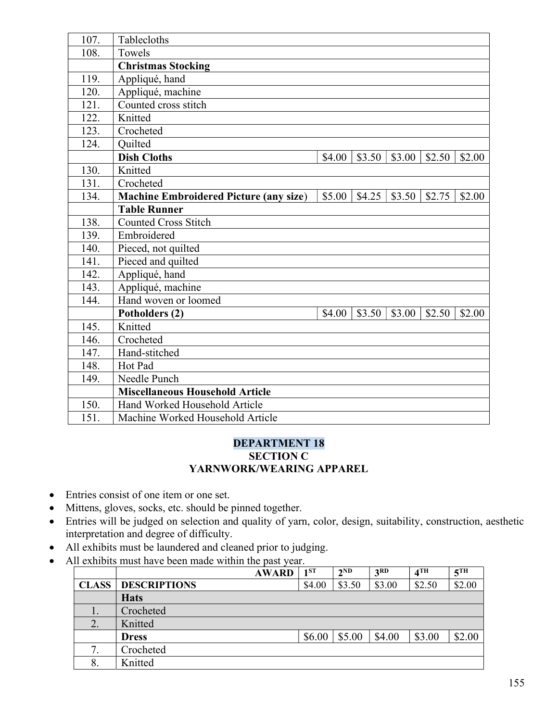| Tablecloths                                   |                    |        |        |        |        |
|-----------------------------------------------|--------------------|--------|--------|--------|--------|
| Towels                                        |                    |        |        |        |        |
| <b>Christmas Stocking</b>                     |                    |        |        |        |        |
| Appliqué, hand                                |                    |        |        |        |        |
| Appliqué, machine                             |                    |        |        |        |        |
| Counted cross stitch                          |                    |        |        |        |        |
| Knitted                                       |                    |        |        |        |        |
| Crocheted                                     |                    |        |        |        |        |
| Quilted                                       |                    |        |        |        |        |
| <b>Dish Cloths</b>                            | \$4.00             | \$3.50 | \$3.00 | \$2.50 | \$2.00 |
| Knitted                                       |                    |        |        |        |        |
| Crocheted                                     |                    |        |        |        |        |
| <b>Machine Embroidered Picture (any size)</b> | \$5.00             | \$4.25 | \$3.50 | \$2.75 | \$2.00 |
| <b>Table Runner</b>                           |                    |        |        |        |        |
| <b>Counted Cross Stitch</b>                   |                    |        |        |        |        |
| Embroidered                                   |                    |        |        |        |        |
| Pieced, not quilted                           |                    |        |        |        |        |
|                                               |                    |        |        |        |        |
| Appliqué, hand                                |                    |        |        |        |        |
| Appliqué, machine                             |                    |        |        |        |        |
| Hand woven or loomed                          |                    |        |        |        |        |
| Potholders (2)                                | \$4.00             | \$3.50 | \$3.00 | \$2.50 | \$2.00 |
| Knitted                                       |                    |        |        |        |        |
| Crocheted                                     |                    |        |        |        |        |
| Hand-stitched                                 |                    |        |        |        |        |
| Hot Pad                                       |                    |        |        |        |        |
| Needle Punch                                  |                    |        |        |        |        |
| <b>Miscellaneous Household Article</b>        |                    |        |        |        |        |
| Hand Worked Household Article                 |                    |        |        |        |        |
| Machine Worked Household Article              |                    |        |        |        |        |
|                                               | Pieced and quilted |        |        |        |        |

## DEPARTMENT 18 SECTION C YARNWORK/WEARING APPAREL

- Entries consist of one item or one set.
- $\bullet$  Mittens, gloves, socks, etc. should be pinned together.
- Entries will be judged on selection and quality of yarn, color, design, suitability, construction, aesthetic interpretation and degree of difficulty.
- All exhibits must be laundered and cleaned prior to judging.
- All exhibits must have been made within the past year.

|              | <b>AWARD</b>        | 1 <sup>ST</sup> | $2^{ND}$ | 3RD    | 4 <sup>TH</sup> | 5 <sup>TH</sup> |
|--------------|---------------------|-----------------|----------|--------|-----------------|-----------------|
| <b>CLASS</b> | <b>DESCRIPTIONS</b> | \$4.00          | \$3.50   | \$3.00 | \$2.50          | \$2.00          |
|              | <b>Hats</b>         |                 |          |        |                 |                 |
| 1.           | Crocheted           |                 |          |        |                 |                 |
| 2.           | Knitted             |                 |          |        |                 |                 |
|              | <b>Dress</b>        | \$6.00          | \$5.00   | \$4.00 | \$3.00          | \$2.00          |
| .,           | Crocheted           |                 |          |        |                 |                 |
| δ.           | Knitted             |                 |          |        |                 |                 |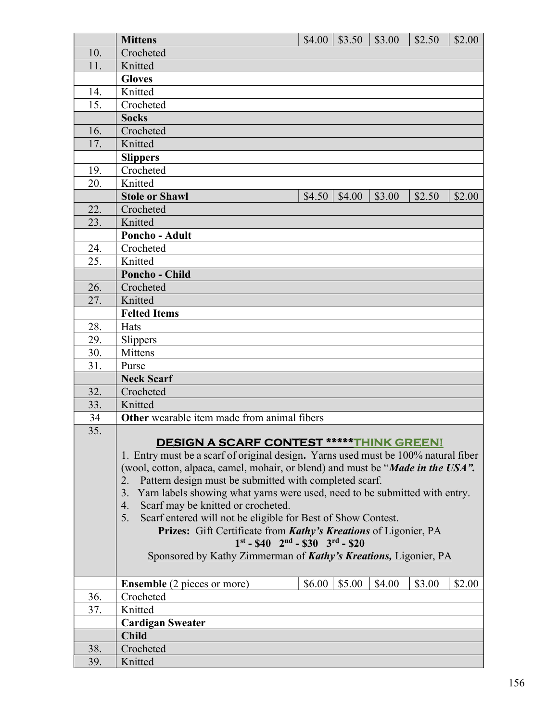|     | <b>Mittens</b>                                                                                                         | \$4.00 | \$3.50 | \$3.00 | \$2.50 | \$2.00 |
|-----|------------------------------------------------------------------------------------------------------------------------|--------|--------|--------|--------|--------|
| 10. | Crocheted                                                                                                              |        |        |        |        |        |
| 11. | Knitted                                                                                                                |        |        |        |        |        |
|     | <b>Gloves</b>                                                                                                          |        |        |        |        |        |
| 14. | Knitted                                                                                                                |        |        |        |        |        |
| 15. | Crocheted                                                                                                              |        |        |        |        |        |
|     | <b>Socks</b>                                                                                                           |        |        |        |        |        |
| 16. | Crocheted                                                                                                              |        |        |        |        |        |
| 17. | Knitted                                                                                                                |        |        |        |        |        |
|     | <b>Slippers</b>                                                                                                        |        |        |        |        |        |
| 19. | Crocheted                                                                                                              |        |        |        |        |        |
| 20. | Knitted                                                                                                                |        |        |        |        |        |
|     | <b>Stole or Shawl</b>                                                                                                  | \$4.50 | \$4.00 | \$3.00 | \$2.50 | \$2.00 |
| 22. | Crocheted                                                                                                              |        |        |        |        |        |
| 23. | Knitted                                                                                                                |        |        |        |        |        |
|     | Poncho - Adult                                                                                                         |        |        |        |        |        |
| 24. | Crocheted                                                                                                              |        |        |        |        |        |
| 25. | Knitted                                                                                                                |        |        |        |        |        |
|     | <b>Poncho - Child</b>                                                                                                  |        |        |        |        |        |
| 26. | Crocheted                                                                                                              |        |        |        |        |        |
| 27. | Knitted                                                                                                                |        |        |        |        |        |
|     | <b>Felted Items</b>                                                                                                    |        |        |        |        |        |
| 28. | Hats                                                                                                                   |        |        |        |        |        |
| 29. | Slippers                                                                                                               |        |        |        |        |        |
| 30. | Mittens                                                                                                                |        |        |        |        |        |
| 31. | Purse                                                                                                                  |        |        |        |        |        |
|     | <b>Neck Scarf</b>                                                                                                      |        |        |        |        |        |
| 32. | Crocheted                                                                                                              |        |        |        |        |        |
| 33. | Knitted                                                                                                                |        |        |        |        |        |
| 34  | Other wearable item made from animal fibers                                                                            |        |        |        |        |        |
| 35. |                                                                                                                        |        |        |        |        |        |
|     | <b>DESIGN A SCARF CONTEST ***** THINK GREEN!</b>                                                                       |        |        |        |        |        |
|     | 1. Entry must be a scarf of original design. Yarns used must be 100% natural fiber                                     |        |        |        |        |        |
|     | (wool, cotton, alpaca, camel, mohair, or blend) and must be " <i>Made in the USA"</i> .                                |        |        |        |        |        |
|     | Pattern design must be submitted with completed scarf.<br>2.<br>3.                                                     |        |        |        |        |        |
|     | Yarn labels showing what yarns were used, need to be submitted with entry.<br>Scarf may be knitted or crocheted.<br>4. |        |        |        |        |        |
|     | Scarf entered will not be eligible for Best of Show Contest.<br>5.                                                     |        |        |        |        |        |
|     | Prizes: Gift Certificate from Kathy's Kreations of Ligonier, PA                                                        |        |        |        |        |        |
|     | $1^{st}$ - \$40 $2^{nd}$ - \$30 $3^{rd}$ - \$20                                                                        |        |        |        |        |        |
|     | Sponsored by Kathy Zimmerman of Kathy's Kreations, Ligonier, PA                                                        |        |        |        |        |        |
|     |                                                                                                                        |        |        |        |        |        |
|     | <b>Ensemble</b> (2 pieces or more)                                                                                     | \$6.00 | \$5.00 | \$4.00 | \$3.00 | \$2.00 |
| 36. | Crocheted                                                                                                              |        |        |        |        |        |
| 37. | Knitted                                                                                                                |        |        |        |        |        |
|     | <b>Cardigan Sweater</b>                                                                                                |        |        |        |        |        |
|     | <b>Child</b>                                                                                                           |        |        |        |        |        |
| 38. | Crocheted                                                                                                              |        |        |        |        |        |
| 39. | Knitted                                                                                                                |        |        |        |        |        |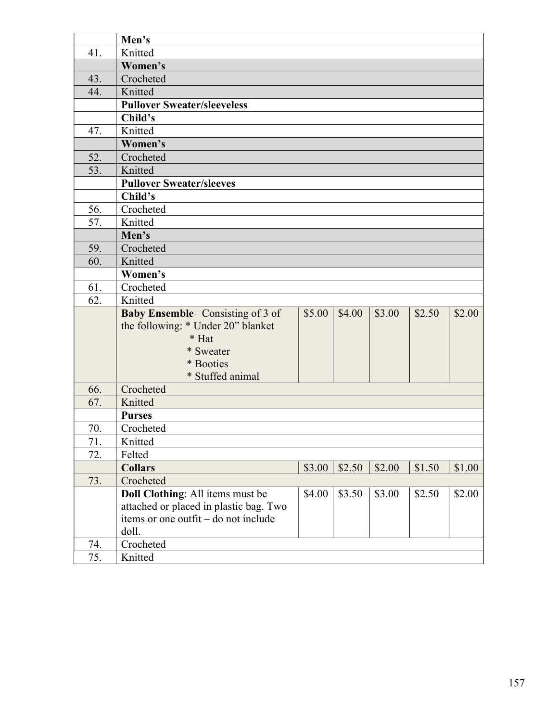| Men's                                                                 |        |        |
|-----------------------------------------------------------------------|--------|--------|
| Knitted<br>41.                                                        |        |        |
| Women's                                                               |        |        |
| Crocheted<br>43.                                                      |        |        |
| 44.<br>Knitted                                                        |        |        |
| <b>Pullover Sweater/sleeveless</b>                                    |        |        |
| Child's                                                               |        |        |
| Knitted<br>47.                                                        |        |        |
| Women's                                                               |        |        |
| 52.<br>Crocheted                                                      |        |        |
| 53.<br>Knitted                                                        |        |        |
| <b>Pullover Sweater/sleeves</b>                                       |        |        |
| Child's                                                               |        |        |
| 56.<br>Crocheted                                                      |        |        |
| Knitted<br>57.                                                        |        |        |
| Men's                                                                 |        |        |
| 59.<br>Crocheted                                                      |        |        |
| 60.<br>Knitted                                                        |        |        |
| Women's                                                               |        |        |
| Crocheted<br>61.                                                      |        |        |
| 62.<br>Knitted                                                        |        |        |
| <b>Baby Ensemble–Consisting of 3 of</b><br>\$5.00<br>\$4.00<br>\$3.00 | \$2.50 | \$2.00 |
| the following: * Under 20" blanket                                    |        |        |
| * Hat                                                                 |        |        |
| * Sweater                                                             |        |        |
| * Booties                                                             |        |        |
| * Stuffed animal                                                      |        |        |
| 66.<br>Crocheted                                                      |        |        |
| Knitted<br>67.                                                        |        |        |
| <b>Purses</b>                                                         |        |        |
| 70.<br>Crocheted<br>Knitted                                           |        |        |
| 71.<br>72.                                                            |        |        |
| Felted                                                                |        |        |
| <b>Collars</b><br>\$3.00<br>\$2.50<br>\$2.00<br>Crocheted             | \$1.50 | \$1.00 |
| 73.<br>Doll Clothing: All items must be<br>\$3.50<br>\$3.00<br>\$4.00 | \$2.50 | \$2.00 |
| attached or placed in plastic bag. Two                                |        |        |
| items or one outfit – do not include                                  |        |        |
| doll.                                                                 |        |        |
| 74.<br>Crocheted                                                      |        |        |
| 75.<br>Knitted                                                        |        |        |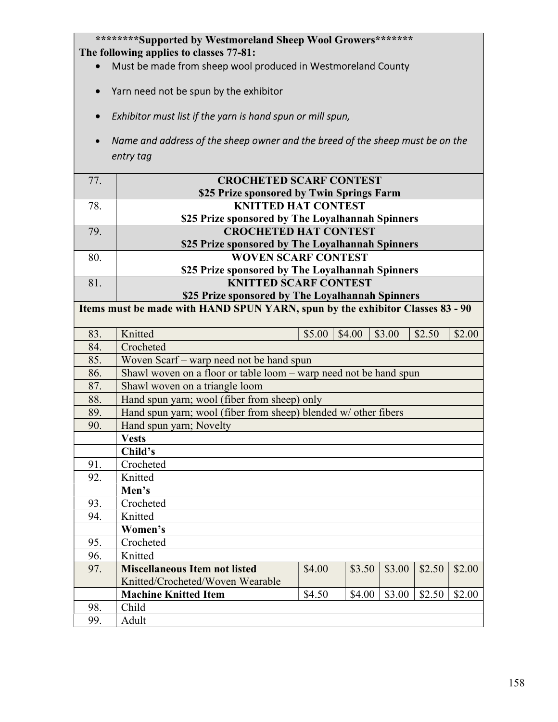\*\*\*\*\*\*\*\*Supported by Westmoreland Sheep Wool Growers\*\*\*\*\*\*\* The following applies to classes 77-81:

- Must be made from sheep wool produced in Westmoreland County
- Yarn need not be spun by the exhibitor
- Exhibitor must list if the yarn is hand spun or mill spun,
- Name and address of the sheep owner and the breed of the sheep must be on the entry tag

| 77. | <b>CROCHETED SCARF CONTEST</b>                   |
|-----|--------------------------------------------------|
|     | \$25 Prize sponsored by Twin Springs Farm        |
| 78. | <b>KNITTED HAT CONTEST</b>                       |
|     | \$25 Prize sponsored by The Loyalhannah Spinners |
| 79. | <b>CROCHETED HAT CONTEST</b>                     |
|     | \$25 Prize sponsored by The Loyalhannah Spinners |
| 80. | <b>WOVEN SCARF CONTEST</b>                       |
|     | \$25 Prize sponsored by The Loyalhannah Spinners |
|     | <b>KNITTED SCARF CONTEST</b>                     |
|     |                                                  |

 \$25 Prize sponsored by The Loyalhannah Spinners Items must be made with HAND SPUN YARN, spun by the exhibitor Classes 83 - 90 83. Knitted \$5.00 \$4.00 \$3.00 \$2.50 \$2.00 84. Crocheted 85. Woven Scarf – warp need not be hand spun 86. Shawl woven on a floor or table loom – warp need not be hand spun 87. Shawl woven on a triangle loom 88. Hand spun yarn; wool (fiber from sheep) only 89. Hand spun yarn; wool (fiber from sheep) blended w/ other fibers 90. Hand spun yarn; Novelty Vests Child's 91. Crocheted 92. Knitted Men's 93. Crocheted 94. Knitted Women's 95. Crocheted 96. Knitted 97. Miscellaneous Item not listed Knitted/Crocheted/Woven Wearable  $$4.00$   $$3.50$   $$3.00$   $$2.50$   $$2.00$ Machine Knitted Item \$4.50 \$4.00 \$3.00 \$2.50 \$2.00 98. Child 99. Adult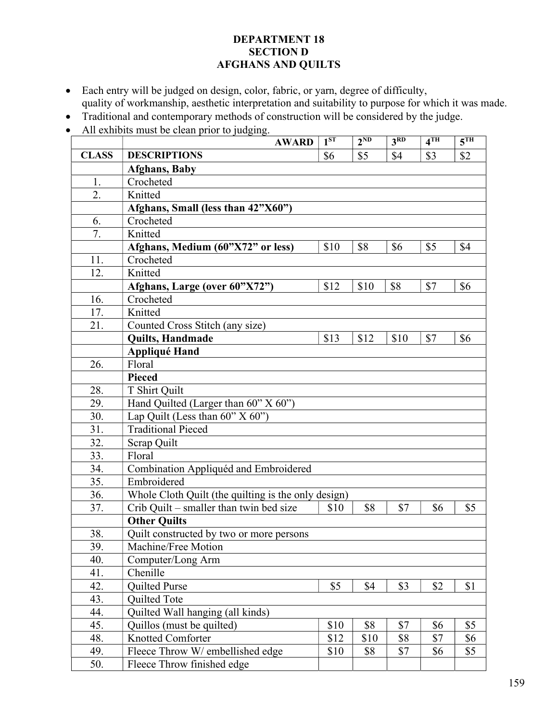### DEPARTMENT 18 SECTION D AFGHANS AND QUILTS

- Each entry will be judged on design, color, fabric, or yarn, degree of difficulty, quality of workmanship, aesthetic interpretation and suitability to purpose for which it was made.
- Traditional and contemporary methods of construction will be considered by the judge.
- All exhibits must be clean prior to judging.

|              | <b>AWARD</b>                                        | 1 <sup>ST</sup> | $2^{ND}$ | 3 <sup>RD</sup> | 4 <sup>TH</sup> | 5 <sup>TH</sup> |
|--------------|-----------------------------------------------------|-----------------|----------|-----------------|-----------------|-----------------|
| <b>CLASS</b> | <b>DESCRIPTIONS</b>                                 | \$6             | \$5      | \$4             | \$3             | \$2             |
|              | <b>Afghans</b> , Baby                               |                 |          |                 |                 |                 |
| 1.           | Crocheted                                           |                 |          |                 |                 |                 |
| 2.           | Knitted                                             |                 |          |                 |                 |                 |
|              | Afghans, Small (less than 42"X60")                  |                 |          |                 |                 |                 |
| 6.           | Crocheted                                           |                 |          |                 |                 |                 |
| 7.           | Knitted                                             |                 |          |                 |                 |                 |
|              | Afghans, Medium (60"X72" or less)                   | \$10            | \$8      | \$6             | \$5             | \$4             |
| 11.          | Crocheted                                           |                 |          |                 |                 |                 |
| 12.          | Knitted                                             |                 |          |                 |                 |                 |
|              | Afghans, Large (over 60"X72")                       | \$12            | \$10     | \$8             | \$7             | \$6             |
| 16.          | Crocheted                                           |                 |          |                 |                 |                 |
| 17.          | Knitted                                             |                 |          |                 |                 |                 |
| 21.          | Counted Cross Stitch (any size)                     |                 |          |                 |                 |                 |
|              | Quilts, Handmade                                    | \$13            | \$12     | \$10            | \$7             | \$6             |
|              | <b>Appliqué Hand</b>                                |                 |          |                 |                 |                 |
| 26.          | Floral                                              |                 |          |                 |                 |                 |
|              | <b>Pieced</b>                                       |                 |          |                 |                 |                 |
| 28.          | T Shirt Quilt                                       |                 |          |                 |                 |                 |
| 29.          | Hand Quilted (Larger than 60" X 60")                |                 |          |                 |                 |                 |
| 30.          | Lap Quilt (Less than $60^{\circ}$ X $60^{\circ}$ )  |                 |          |                 |                 |                 |
| 31.          | <b>Traditional Pieced</b>                           |                 |          |                 |                 |                 |
| 32.          | Scrap Quilt                                         |                 |          |                 |                 |                 |
| 33.          | Floral                                              |                 |          |                 |                 |                 |
| 34.          | Combination Appliquéd and Embroidered               |                 |          |                 |                 |                 |
| 35.          | Embroidered                                         |                 |          |                 |                 |                 |
| 36.          | Whole Cloth Quilt (the quilting is the only design) |                 |          |                 |                 |                 |
| 37.          | Crib Quilt – smaller than twin bed size             | \$10            | \$8      | \$7             | \$6             | \$5             |
|              | <b>Other Ouilts</b>                                 |                 |          |                 |                 |                 |
| 38.          | Quilt constructed by two or more persons            |                 |          |                 |                 |                 |
| 39.          | Machine/Free Motion                                 |                 |          |                 |                 |                 |
| 40.          | Computer/Long Arm                                   |                 |          |                 |                 |                 |
| 41.          | Chenille                                            |                 |          |                 |                 |                 |
| 42.          | Quilted Purse                                       | \$5             | \$4      | \$3             | \$2             | \$1             |
| 43.          | <b>Quilted Tote</b>                                 |                 |          |                 |                 |                 |
| 44.          | Quilted Wall hanging (all kinds)                    |                 |          |                 |                 |                 |
| 45.          | Quillos (must be quilted)                           | \$10            | \$8      | \$7             | \$6             | \$5             |
| 48.          | <b>Knotted Comforter</b>                            | \$12            | \$10     | \$8             | \$7             | \$6             |
| 49.          | Fleece Throw W/ embellished edge                    | \$10            | \$8      | \$7             | \$6             | \$5             |
| 50.          | Fleece Throw finished edge                          |                 |          |                 |                 |                 |